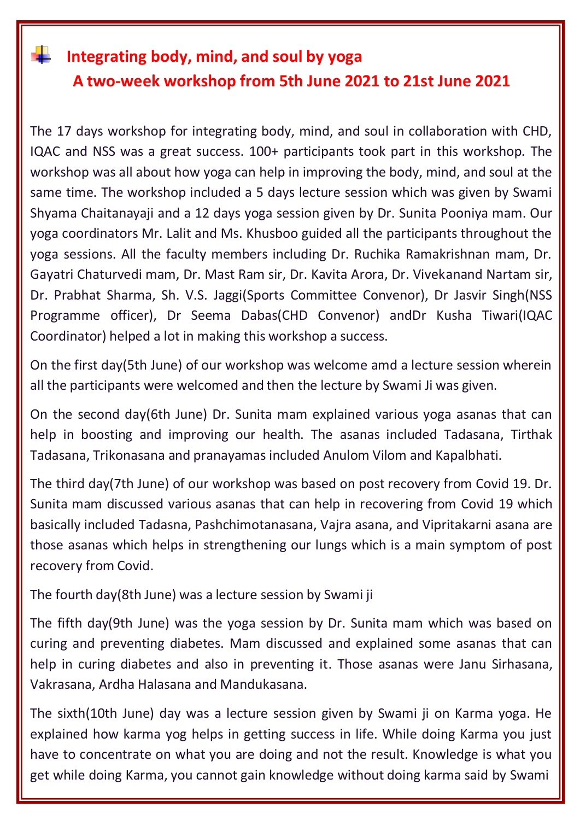## **Integrating body, mind, and soul by yoga A two-week workshop from 5th June 2021 to 21st June 2021**

The 17 days workshop for integrating body, mind, and soul in collaboration with CHD, IQAC and NSS was a great success. 100+ participants took part in this workshop. The workshop was all about how yoga can help in improving the body, mind, and soul at the same time. The workshop included a 5 days lecture session which was given by Swami Shyama Chaitanayaji and a 12 days yoga session given by Dr. Sunita Pooniya mam. Our yoga coordinators Mr. Lalit and Ms. Khusboo guided all the participants throughout the yoga sessions. All the faculty members including Dr. Ruchika Ramakrishnan mam, Dr. Gayatri Chaturvedi mam, Dr. Mast Ram sir, Dr. Kavita Arora, Dr. Vivekanand Nartam sir, Dr. Prabhat Sharma, Sh. V.S. Jaggi(Sports Committee Convenor), Dr Jasvir Singh(NSS Programme officer), Dr Seema Dabas(CHD Convenor) andDr Kusha Tiwari(IQAC Coordinator) helped a lot in making this workshop a success.

On the first day(5th June) of our workshop was welcome amd a lecture session wherein all the participants were welcomed and then the lecture by Swami Ji was given.

On the second day(6th June) Dr. Sunita mam explained various yoga asanas that can help in boosting and improving our health. The asanas included Tadasana, Tirthak Tadasana, Trikonasana and pranayamas included Anulom Vilom and Kapalbhati.

The third day(7th June) of our workshop was based on post recovery from Covid 19. Dr. Sunita mam discussed various asanas that can help in recovering from Covid 19 which basically included Tadasna, Pashchimotanasana, Vajra asana, and Vipritakarni asana are those asanas which helps in strengthening our lungs which is a main symptom of post recovery from Covid.

The fourth day(8th June) was a lecture session by Swami ji

The fifth day(9th June) was the yoga session by Dr. Sunita mam which was based on curing and preventing diabetes. Mam discussed and explained some asanas that can help in curing diabetes and also in preventing it. Those asanas were Janu Sirhasana, Vakrasana, Ardha Halasana and Mandukasana.

The sixth(10th June) day was a lecture session given by Swami ji on Karma yoga. He explained how karma yog helps in getting success in life. While doing Karma you just have to concentrate on what you are doing and not the result. Knowledge is what you get while doing Karma, you cannot gain knowledge without doing karma said by Swami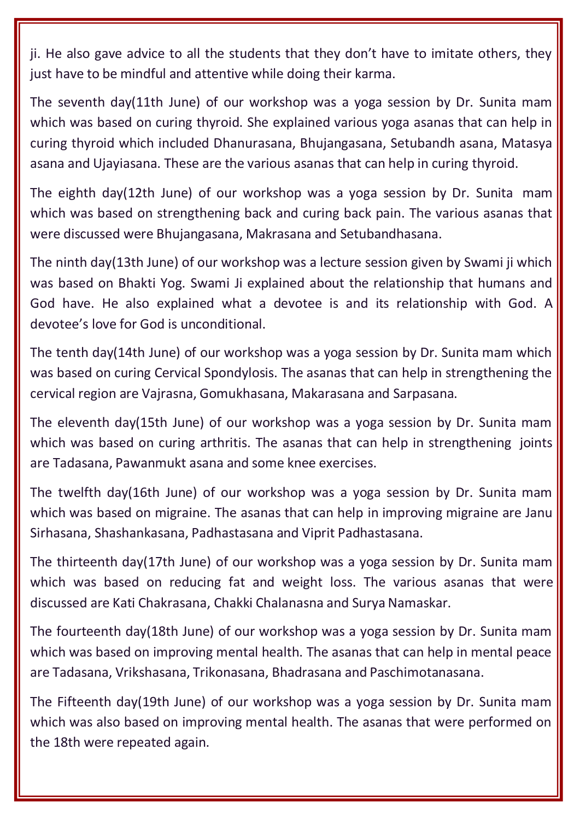ji. He also gave advice to all the students that they don't have to imitate others, they just have to be mindful and attentive while doing their karma.

The seventh day(11th June) of our workshop was a yoga session by Dr. Sunita mam which was based on curing thyroid. She explained various yoga asanas that can help in curing thyroid which included Dhanurasana, Bhujangasana, Setubandh asana, Matasya asana and Ujayiasana. These are the various asanas that can help in curing thyroid.

The eighth day(12th June) of our workshop was a yoga session by Dr. Sunita mam which was based on strengthening back and curing back pain. The various asanas that were discussed were Bhujangasana, Makrasana and Setubandhasana.

The ninth day(13th June) of our workshop was a lecture session given by Swami ji which was based on Bhakti Yog. Swami Ji explained about the relationship that humans and God have. He also explained what a devotee is and its relationship with God. A devotee's love for God is unconditional.

The tenth day(14th June) of our workshop was a yoga session by Dr. Sunita mam which was based on curing Cervical Spondylosis. The asanas that can help in strengthening the cervical region are Vajrasna, Gomukhasana, Makarasana and Sarpasana.

The eleventh day(15th June) of our workshop was a yoga session by Dr. Sunita mam which was based on curing arthritis. The asanas that can help in strengthening joints are Tadasana, Pawanmukt asana and some knee exercises.

The twelfth day(16th June) of our workshop was a yoga session by Dr. Sunita mam which was based on migraine. The asanas that can help in improving migraine are Janu Sirhasana, Shashankasana, Padhastasana and Viprit Padhastasana.

The thirteenth day(17th June) of our workshop was a yoga session by Dr. Sunita mam which was based on reducing fat and weight loss. The various asanas that were discussed are Kati Chakrasana, Chakki Chalanasna and Surya Namaskar.

The fourteenth day(18th June) of our workshop was a yoga session by Dr. Sunita mam which was based on improving mental health. The asanas that can help in mental peace are Tadasana, Vrikshasana, Trikonasana, Bhadrasana and Paschimotanasana.

The Fifteenth day(19th June) of our workshop was a yoga session by Dr. Sunita mam which was also based on improving mental health. The asanas that were performed on the 18th were repeated again.